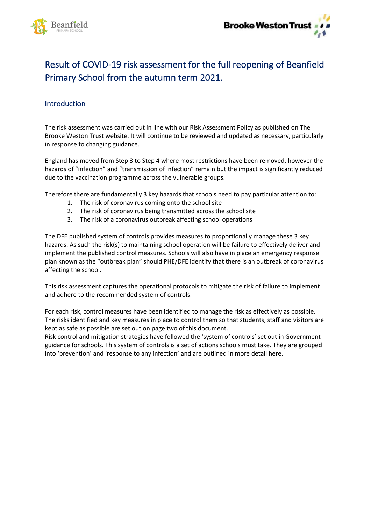

## Result of COVID-19 risk assessment for the full reopening of Beanfield Primary School from the autumn term 2021.

## **Introduction**

The risk assessment was carried out in line with our Risk Assessment Policy as published on The Brooke Weston Trust website. It will continue to be reviewed and updated as necessary, particularly in response to changing guidance.

England has moved from Step 3 to Step 4 where most restrictions have been removed, however the hazards of "infection" and "transmission of infection" remain but the impact is significantly reduced due to the vaccination programme across the vulnerable groups.

Therefore there are fundamentally 3 key hazards that schools need to pay particular attention to:

- 1. The risk of coronavirus coming onto the school site
- 2. The risk of coronavirus being transmitted across the school site
- 3. The risk of a coronavirus outbreak affecting school operations

The DFE published system of controls provides measures to proportionally manage these 3 key hazards. As such the risk(s) to maintaining school operation will be failure to effectively deliver and implement the published control measures. Schools will also have in place an emergency response plan known as the "outbreak plan" should PHE/DFE identify that there is an outbreak of coronavirus affecting the school.

This risk assessment captures the operational protocols to mitigate the risk of failure to implement and adhere to the recommended system of controls.

For each risk, control measures have been identified to manage the risk as effectively as possible. The risks identified and key measures in place to control them so that students, staff and visitors are kept as safe as possible are set out on page two of this document.

Risk control and mitigation strategies have followed the 'system of controls' set out in Government guidance for schools. This system of controls is a set of actions schools must take. They are grouped into 'prevention' and 'response to any infection' and are outlined in more detail here.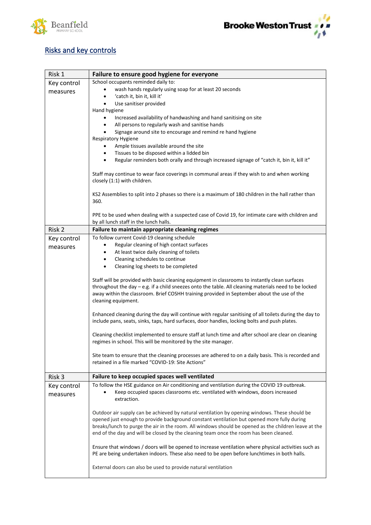



## Risks and key controls

| Risk 1      | Failure to ensure good hygiene for everyone                                                                                                                                                                                                                                                                                                                                                   |
|-------------|-----------------------------------------------------------------------------------------------------------------------------------------------------------------------------------------------------------------------------------------------------------------------------------------------------------------------------------------------------------------------------------------------|
| Key control | School occupants reminded daily to:                                                                                                                                                                                                                                                                                                                                                           |
| measures    | wash hands regularly using soap for at least 20 seconds<br>٠                                                                                                                                                                                                                                                                                                                                  |
|             | 'catch it, bin it, kill it'<br>$\bullet$                                                                                                                                                                                                                                                                                                                                                      |
|             | Use sanitiser provided<br>$\bullet$                                                                                                                                                                                                                                                                                                                                                           |
|             | Hand hygiene                                                                                                                                                                                                                                                                                                                                                                                  |
|             | Increased availability of handwashing and hand sanitising on site<br>٠                                                                                                                                                                                                                                                                                                                        |
|             | All persons to regularly wash and sanitise hands<br>$\bullet$                                                                                                                                                                                                                                                                                                                                 |
|             | Signage around site to encourage and remind re hand hygiene                                                                                                                                                                                                                                                                                                                                   |
|             | <b>Respiratory Hygiene</b>                                                                                                                                                                                                                                                                                                                                                                    |
|             | Ample tissues available around the site<br>$\bullet$                                                                                                                                                                                                                                                                                                                                          |
|             | Tissues to be disposed within a lidded bin<br>$\bullet$                                                                                                                                                                                                                                                                                                                                       |
|             | Regular reminders both orally and through increased signage of "catch it, bin it, kill it"<br>$\bullet$                                                                                                                                                                                                                                                                                       |
|             | Staff may continue to wear face coverings in communal areas if they wish to and when working<br>closely (1:1) with children.                                                                                                                                                                                                                                                                  |
|             | KS2 Assemblies to split into 2 phases so there is a maximum of 180 children in the hall rather than<br>360.                                                                                                                                                                                                                                                                                   |
|             | PPE to be used when dealing with a suspected case of Covid 19, for intimate care with children and<br>by all lunch staff in the lunch halls.                                                                                                                                                                                                                                                  |
| Risk 2      | Failure to maintain appropriate cleaning regimes                                                                                                                                                                                                                                                                                                                                              |
| Key control | To follow current Covid-19 cleaning schedule                                                                                                                                                                                                                                                                                                                                                  |
| measures    | Regular cleaning of high contact surfaces<br>$\bullet$                                                                                                                                                                                                                                                                                                                                        |
|             | At least twice daily cleaning of toilets<br>$\bullet$                                                                                                                                                                                                                                                                                                                                         |
|             | Cleaning schedules to continue<br>$\bullet$                                                                                                                                                                                                                                                                                                                                                   |
|             | Cleaning log sheets to be completed<br>$\bullet$                                                                                                                                                                                                                                                                                                                                              |
|             | Staff will be provided with basic cleaning equipment in classrooms to instantly clean surfaces<br>throughout the day - e.g. if a child sneezes onto the table. All cleaning materials need to be locked<br>away within the classroom. Brief COSHH training provided in September about the use of the<br>cleaning equipment.                                                                  |
|             | Enhanced cleaning during the day will continue with regular sanitising of all toilets during the day to<br>include pans, seats, sinks, taps, hard surfaces, door handles, locking bolts and push plates.                                                                                                                                                                                      |
|             | Cleaning checklist implemented to ensure staff at lunch time and after school are clear on cleaning<br>regimes in school. This will be monitored by the site manager.                                                                                                                                                                                                                         |
|             | Site team to ensure that the cleaning processes are adhered to on a daily basis. This is recorded and<br>retained in a file marked "COVID-19: Site Actions"                                                                                                                                                                                                                                   |
| Risk 3      | Failure to keep occupied spaces well ventilated                                                                                                                                                                                                                                                                                                                                               |
| Key control | To follow the HSE guidance on Air conditioning and ventilation during the COVID 19 outbreak.                                                                                                                                                                                                                                                                                                  |
| measures    | Keep occupied spaces classrooms etc. ventilated with windows, doors increased<br>extraction.                                                                                                                                                                                                                                                                                                  |
|             | Outdoor air supply can be achieved by natural ventilation by opening windows. These should be<br>opened just enough to provide background constant ventilation but opened more fully during<br>breaks/lunch to purge the air in the room. All windows should be opened as the children leave at the<br>end of the day and will be closed by the cleaning team once the room has been cleaned. |
|             | Ensure that windows / doors will be opened to increase ventilation where physical activities such as<br>PE are being undertaken indoors. These also need to be open before lunchtimes in both halls.                                                                                                                                                                                          |
|             | External doors can also be used to provide natural ventilation                                                                                                                                                                                                                                                                                                                                |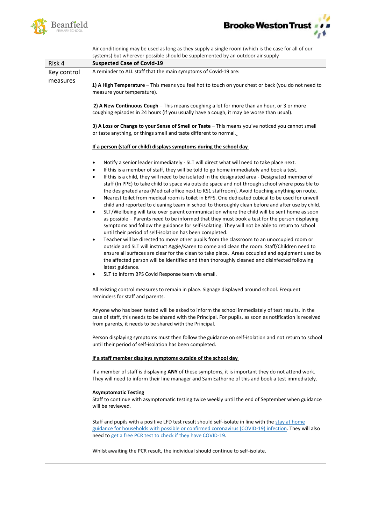



|             | Air conditioning may be used as long as they supply a single room (which is the case for all of our<br>systems) but wherever possible should be supplemented by an outdoor air supply                                                                                                                                                                                                                                                                                                                                                                                                                                                                                                                                                                                                                                                                                                                                                                                                                                                                                                                                             |
|-------------|-----------------------------------------------------------------------------------------------------------------------------------------------------------------------------------------------------------------------------------------------------------------------------------------------------------------------------------------------------------------------------------------------------------------------------------------------------------------------------------------------------------------------------------------------------------------------------------------------------------------------------------------------------------------------------------------------------------------------------------------------------------------------------------------------------------------------------------------------------------------------------------------------------------------------------------------------------------------------------------------------------------------------------------------------------------------------------------------------------------------------------------|
| Risk 4      | <b>Suspected Case of Covid-19</b>                                                                                                                                                                                                                                                                                                                                                                                                                                                                                                                                                                                                                                                                                                                                                                                                                                                                                                                                                                                                                                                                                                 |
| Key control | A reminder to ALL staff that the main symptoms of Covid-19 are:                                                                                                                                                                                                                                                                                                                                                                                                                                                                                                                                                                                                                                                                                                                                                                                                                                                                                                                                                                                                                                                                   |
| measures    | 1) A High Temperature - This means you feel hot to touch on your chest or back (you do not need to<br>measure your temperature).                                                                                                                                                                                                                                                                                                                                                                                                                                                                                                                                                                                                                                                                                                                                                                                                                                                                                                                                                                                                  |
|             | 2) A New Continuous Cough - This means coughing a lot for more than an hour, or 3 or more<br>coughing episodes in 24 hours (if you usually have a cough, it may be worse than usual).                                                                                                                                                                                                                                                                                                                                                                                                                                                                                                                                                                                                                                                                                                                                                                                                                                                                                                                                             |
|             | 3) A Loss or Change to your Sense of Smell or Taste - This means you've noticed you cannot smell<br>or taste anything, or things smell and taste different to normal.                                                                                                                                                                                                                                                                                                                                                                                                                                                                                                                                                                                                                                                                                                                                                                                                                                                                                                                                                             |
|             | If a person (staff or child) displays symptoms during the school day                                                                                                                                                                                                                                                                                                                                                                                                                                                                                                                                                                                                                                                                                                                                                                                                                                                                                                                                                                                                                                                              |
|             | Notify a senior leader immediately - SLT will direct what will need to take place next.<br>$\bullet$<br>If this is a member of staff, they will be told to go home immediately and book a test.<br>$\bullet$<br>If this is a child, they will need to be isolated in the designated area - Designated member of<br>$\bullet$<br>staff (In PPE) to take child to space via outside space and not through school where possible to<br>the designated area (Medical office next to KS1 staffroom). Avoid touching anything on route.<br>Nearest toilet from medical room is toilet in EYFS. One dedicated cubical to be used for unwell<br>$\bullet$<br>child and reported to cleaning team in school to thoroughly clean before and after use by child.<br>SLT/Wellbeing will take over parent communication where the child will be sent home as soon<br>$\bullet$<br>as possible - Parents need to be informed that they must book a test for the person displaying<br>symptoms and follow the guidance for self-isolating. They will not be able to return to school<br>until their period of self-isolation has been completed. |
|             | Teacher will be directed to move other pupils from the classroom to an unoccupied room or<br>$\bullet$<br>outside and SLT will instruct Aggie/Karen to come and clean the room. Staff/Children need to<br>ensure all surfaces are clear for the clean to take place. Areas occupied and equipment used by<br>the affected person will be identified and then thoroughly cleaned and disinfected following<br>latest guidance.<br>SLT to inform BPS Covid Response team via email.<br>$\bullet$                                                                                                                                                                                                                                                                                                                                                                                                                                                                                                                                                                                                                                    |
|             | All existing control measures to remain in place. Signage displayed around school. Frequent<br>reminders for staff and parents.                                                                                                                                                                                                                                                                                                                                                                                                                                                                                                                                                                                                                                                                                                                                                                                                                                                                                                                                                                                                   |
|             | Anyone who has been tested will be asked to inform the school immediately of test results. In the<br>case of staff, this needs to be shared with the Principal. For pupils, as soon as notification is received<br>from parents, it needs to be shared with the Principal.                                                                                                                                                                                                                                                                                                                                                                                                                                                                                                                                                                                                                                                                                                                                                                                                                                                        |
|             | Person displaying symptoms must then follow the guidance on self-isolation and not return to school<br>until their period of self-isolation has been completed.                                                                                                                                                                                                                                                                                                                                                                                                                                                                                                                                                                                                                                                                                                                                                                                                                                                                                                                                                                   |
|             | If a staff member displays symptoms outside of the school day                                                                                                                                                                                                                                                                                                                                                                                                                                                                                                                                                                                                                                                                                                                                                                                                                                                                                                                                                                                                                                                                     |
|             | If a member of staff is displaying ANY of these symptoms, it is important they do not attend work.<br>They will need to inform their line manager and Sam Eathorne of this and book a test immediately.                                                                                                                                                                                                                                                                                                                                                                                                                                                                                                                                                                                                                                                                                                                                                                                                                                                                                                                           |
|             | <b>Asymptomatic Testing</b><br>Staff to continue with asymptomatic testing twice weekly until the end of September when guidance<br>will be reviewed.                                                                                                                                                                                                                                                                                                                                                                                                                                                                                                                                                                                                                                                                                                                                                                                                                                                                                                                                                                             |
|             | Staff and pupils with a positive LFD test result should self-isolate in line with the stay at home<br>guidance for households with possible or confirmed coronavirus (COVID-19) infection. They will also<br>need to get a free PCR test to check if they have COVID-19.                                                                                                                                                                                                                                                                                                                                                                                                                                                                                                                                                                                                                                                                                                                                                                                                                                                          |
|             | Whilst awaiting the PCR result, the individual should continue to self-isolate.                                                                                                                                                                                                                                                                                                                                                                                                                                                                                                                                                                                                                                                                                                                                                                                                                                                                                                                                                                                                                                                   |